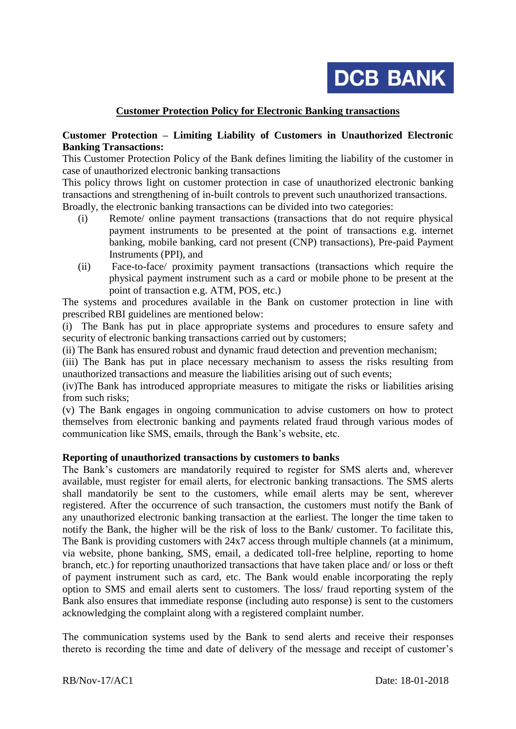**DCB BANK** 

## **Customer Protection Policy for Electronic Banking transactions**

### **Customer Protection – Limiting Liability of Customers in Unauthorized Electronic Banking Transactions:**

This Customer Protection Policy of the Bank defines limiting the liability of the customer in case of unauthorized electronic banking transactions

This policy throws light on customer protection in case of unauthorized electronic banking transactions and strengthening of in-built controls to prevent such unauthorized transactions. Broadly, the electronic banking transactions can be divided into two categories:

- (i) Remote/ online payment transactions (transactions that do not require physical payment instruments to be presented at the point of transactions e.g. internet banking, mobile banking, card not present (CNP) transactions), Pre-paid Payment Instruments (PPI), and
- (ii) Face-to-face/ proximity payment transactions (transactions which require the physical payment instrument such as a card or mobile phone to be present at the point of transaction e.g. ATM, POS, etc.)

The systems and procedures available in the Bank on customer protection in line with prescribed RBI guidelines are mentioned below:

(i) The Bank has put in place appropriate systems and procedures to ensure safety and security of electronic banking transactions carried out by customers;

(ii) The Bank has ensured robust and dynamic fraud detection and prevention mechanism;

(iii) The Bank has put in place necessary mechanism to assess the risks resulting from unauthorized transactions and measure the liabilities arising out of such events;

(iv)The Bank has introduced appropriate measures to mitigate the risks or liabilities arising from such risks;

(v) The Bank engages in ongoing communication to advise customers on how to protect themselves from electronic banking and payments related fraud through various modes of communication like SMS, emails, through the Bank's website, etc.

#### **Reporting of unauthorized transactions by customers to banks**

The Bank's customers are mandatorily required to register for SMS alerts and, wherever available, must register for email alerts, for electronic banking transactions. The SMS alerts shall mandatorily be sent to the customers, while email alerts may be sent, wherever registered. After the occurrence of such transaction, the customers must notify the Bank of any unauthorized electronic banking transaction at the earliest. The longer the time taken to notify the Bank, the higher will be the risk of loss to the Bank/ customer. To facilitate this, The Bank is providing customers with 24x7 access through multiple channels (at a minimum, via website, phone banking, SMS, email, a dedicated toll-free helpline, reporting to home branch, etc.) for reporting unauthorized transactions that have taken place and/ or loss or theft of payment instrument such as card, etc. The Bank would enable incorporating the reply option to SMS and email alerts sent to customers. The loss/ fraud reporting system of the Bank also ensures that immediate response (including auto response) is sent to the customers acknowledging the complaint along with a registered complaint number.

The communication systems used by the Bank to send alerts and receive their responses thereto is recording the time and date of delivery of the message and receipt of customer's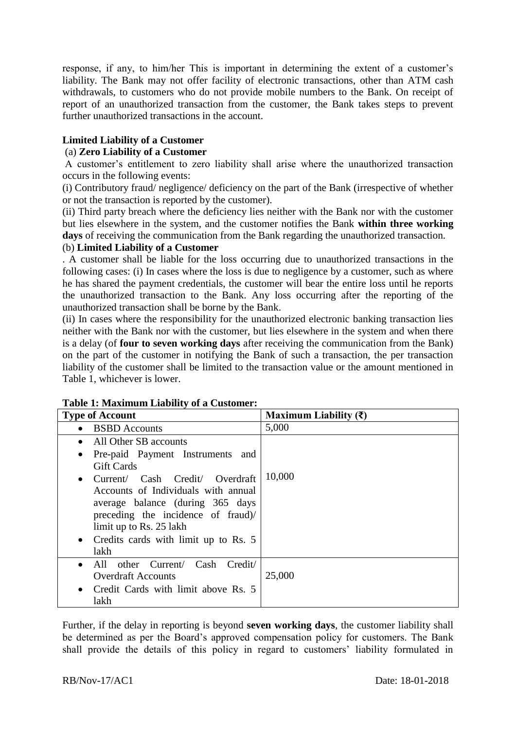response, if any, to him/her This is important in determining the extent of a customer's liability. The Bank may not offer facility of electronic transactions, other than ATM cash withdrawals, to customers who do not provide mobile numbers to the Bank. On receipt of report of an unauthorized transaction from the customer, the Bank takes steps to prevent further unauthorized transactions in the account.

# **Limited Liability of a Customer**

# (a) **Zero Liability of a Customer**

A customer's entitlement to zero liability shall arise where the unauthorized transaction occurs in the following events:

(i) Contributory fraud/ negligence/ deficiency on the part of the Bank (irrespective of whether or not the transaction is reported by the customer).

(ii) Third party breach where the deficiency lies neither with the Bank nor with the customer but lies elsewhere in the system, and the customer notifies the Bank **within three working days** of receiving the communication from the Bank regarding the unauthorized transaction.

## (b) **Limited Liability of a Customer**

. A customer shall be liable for the loss occurring due to unauthorized transactions in the following cases: (i) In cases where the loss is due to negligence by a customer, such as where he has shared the payment credentials, the customer will bear the entire loss until he reports the unauthorized transaction to the Bank. Any loss occurring after the reporting of the unauthorized transaction shall be borne by the Bank.

(ii) In cases where the responsibility for the unauthorized electronic banking transaction lies neither with the Bank nor with the customer, but lies elsewhere in the system and when there is a delay (of **four to seven working days** after receiving the communication from the Bank) on the part of the customer in notifying the Bank of such a transaction, the per transaction liability of the customer shall be limited to the transaction value or the amount mentioned in Table 1, whichever is lower.

| <b>Type of Account</b>                            | Maximum Liability $(\bar{\tau})$ |
|---------------------------------------------------|----------------------------------|
| <b>BSBD</b> Accounts<br>$\bullet$                 | 5,000                            |
| All Other SB accounts<br>$\bullet$                |                                  |
| Pre-paid Payment Instruments and                  |                                  |
| <b>Gift Cards</b>                                 |                                  |
| Current/ Cash Credit/ Overdraft<br>$\bullet$      | 10,000                           |
| Accounts of Individuals with annual               |                                  |
| average balance (during 365 days                  |                                  |
| preceding the incidence of fraud)/                |                                  |
| limit up to Rs. 25 lakh                           |                                  |
| Credits cards with limit up to Rs. 5<br>$\bullet$ |                                  |
| lakh                                              |                                  |
| All other Current/ Cash Credit/<br>$\bullet$      |                                  |
| <b>Overdraft Accounts</b>                         | 25,000                           |
| Credit Cards with limit above Rs. 5<br>$\bullet$  |                                  |
| lakh                                              |                                  |

#### **Table 1: Maximum Liability of a Customer:**

Further, if the delay in reporting is beyond **seven working days**, the customer liability shall be determined as per the Board's approved compensation policy for customers. The Bank shall provide the details of this policy in regard to customers' liability formulated in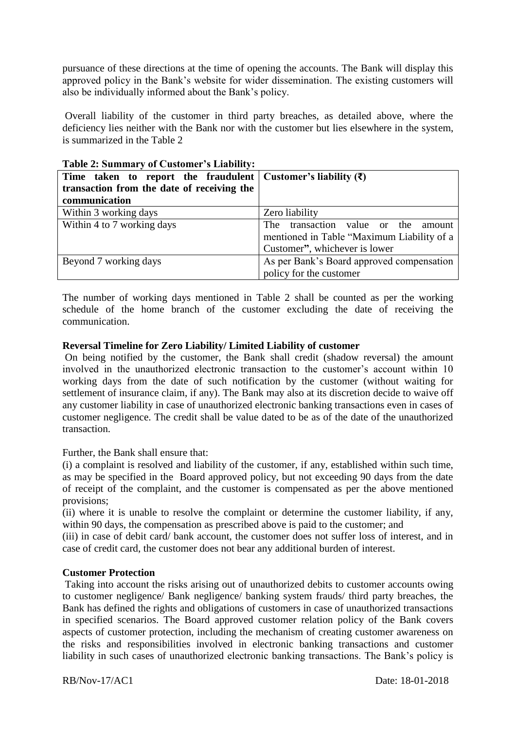pursuance of these directions at the time of opening the accounts. The Bank will display this approved policy in the Bank's website for wider dissemination. The existing customers will also be individually informed about the Bank's policy.

Overall liability of the customer in third party breaches, as detailed above, where the deficiency lies neither with the Bank nor with the customer but lies elsewhere in the system, is summarized in the Table 2

| Time taken to report the fraudulent Customer's liability $(\bar{\mathbf{x}})$ |                                            |
|-------------------------------------------------------------------------------|--------------------------------------------|
| transaction from the date of receiving the                                    |                                            |
| communication                                                                 |                                            |
| Within 3 working days                                                         | Zero liability                             |
| Within 4 to 7 working days                                                    | The transaction value or the<br>amount     |
|                                                                               | mentioned in Table "Maximum Liability of a |
|                                                                               | Customer", whichever is lower              |
| Beyond 7 working days                                                         | As per Bank's Board approved compensation  |
|                                                                               | policy for the customer                    |

#### **Table 2: Summary of Customer's Liability:**

The number of working days mentioned in Table 2 shall be counted as per the working schedule of the home branch of the customer excluding the date of receiving the communication.

#### **Reversal Timeline for Zero Liability/ Limited Liability of customer**

On being notified by the customer, the Bank shall credit (shadow reversal) the amount involved in the unauthorized electronic transaction to the customer's account within 10 working days from the date of such notification by the customer (without waiting for settlement of insurance claim, if any). The Bank may also at its discretion decide to waive off any customer liability in case of unauthorized electronic banking transactions even in cases of customer negligence. The credit shall be value dated to be as of the date of the unauthorized transaction.

Further, the Bank shall ensure that:

(i) a complaint is resolved and liability of the customer, if any, established within such time, as may be specified in the Board approved policy, but not exceeding 90 days from the date of receipt of the complaint, and the customer is compensated as per the above mentioned provisions;

(ii) where it is unable to resolve the complaint or determine the customer liability, if any, within 90 days, the compensation as prescribed above is paid to the customer; and

(iii) in case of debit card/ bank account, the customer does not suffer loss of interest, and in case of credit card, the customer does not bear any additional burden of interest.

## **Customer Protection**

Taking into account the risks arising out of unauthorized debits to customer accounts owing to customer negligence/ Bank negligence/ banking system frauds/ third party breaches, the Bank has defined the rights and obligations of customers in case of unauthorized transactions in specified scenarios. The Board approved customer relation policy of the Bank covers aspects of customer protection, including the mechanism of creating customer awareness on the risks and responsibilities involved in electronic banking transactions and customer liability in such cases of unauthorized electronic banking transactions. The Bank's policy is